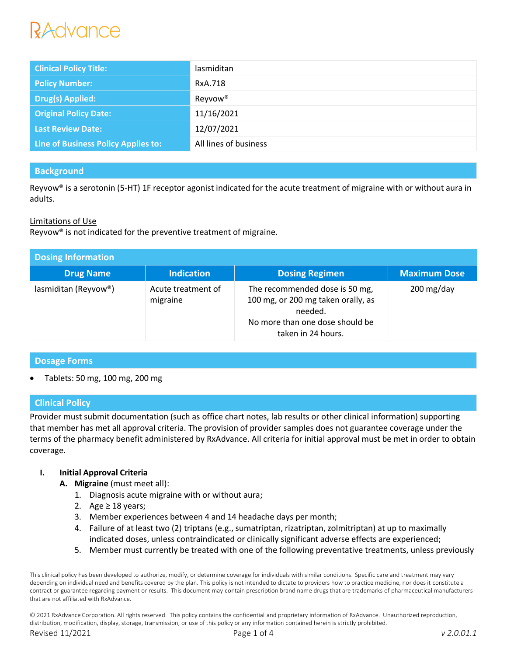# RAdvance

| <b>Clinical Policy Title:</b>       | lasmiditan            |
|-------------------------------------|-----------------------|
| <b>Policy Number:</b>               | RxA.718               |
| <b>Drug(s) Applied:</b>             | Reyvow <sup>®</sup>   |
| <b>Original Policy Date:</b>        | 11/16/2021            |
| <b>Last Review Date:</b>            | 12/07/2021            |
| Line of Business Policy Applies to: | All lines of business |

# **Background**

Reyvow® is a serotonin (5-HT) 1F receptor agonist indicated for the acute treatment of migraine with or without aura in adults.

# Limitations of Use

Reyvow® is not indicated for the preventive treatment of migraine.

| <b>Dosing Information</b> |                                |                                                                                                                                          |                         |  |  |
|---------------------------|--------------------------------|------------------------------------------------------------------------------------------------------------------------------------------|-------------------------|--|--|
| <b>Drug Name</b>          | <b>Indication</b>              | <b>Dosing Regimen</b>                                                                                                                    | <b>Maximum Dose</b>     |  |  |
| lasmiditan (Reyvow®)      | Acute treatment of<br>migraine | The recommended dose is 50 mg,<br>100 mg, or 200 mg taken orally, as<br>needed.<br>No more than one dose should be<br>taken in 24 hours. | $200 \,\mathrm{mg/day}$ |  |  |

# **Dosage Forms**

Tablets: 50 mg, 100 mg, 200 mg

# **Clinical Policy**

Provider must submit documentation (such as office chart notes, lab results or other clinical information) supporting that member has met all approval criteria. The provision of provider samples does not guarantee coverage under the terms of the pharmacy benefit administered by RxAdvance. All criteria for initial approval must be met in order to obtain coverage.

# **I. Initial Approval Criteria**

- **A. Migraine** (must meet all):
	- 1. Diagnosis acute migraine with or without aura;
	- 2. Age  $\geq$  18 years;
	- 3. Member experiences between 4 and 14 headache days per month;
	- 4. Failure of at least two (2) triptans (e.g., sumatriptan, rizatriptan, zolmitriptan) at up to maximally indicated doses, unless contraindicated or clinically significant adverse effects are experienced;
	- 5. Member must currently be treated with one of the following preventative treatments, unless previously

This clinical policy has been developed to authorize, modify, or determine coverage for individuals with similar conditions. Specific care and treatment may vary depending on individual need and benefits covered by the plan. This policy is not intended to dictate to providers how to practice medicine, nor does it constitute a contract or guarantee regarding payment or results. This document may contain prescription brand name drugs that are trademarks of pharmaceutical manufacturers that are not affiliated with RxAdvance.

© 2021 RxAdvance Corporation. All rights reserved. This policy contains the confidential and proprietary information of RxAdvance. Unauthorized reproduction, distribution, modification, display, storage, transmission, or use of this policy or any information contained herein is strictly prohibited. Revised 11/2021 Page 1 of 4 *v 2.0.01.1*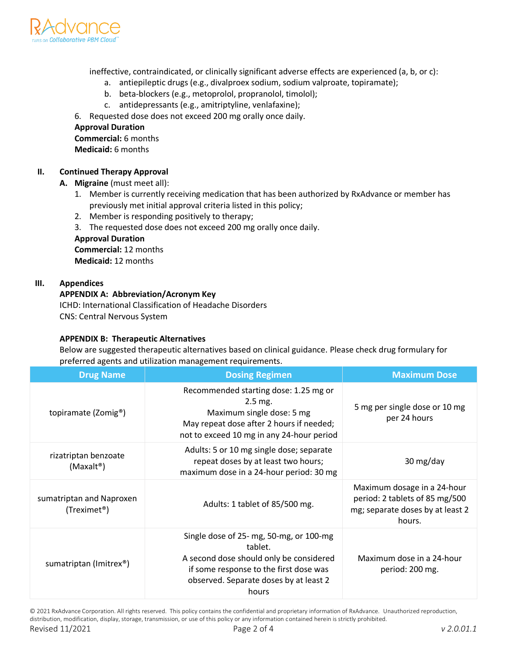

ineffective, contraindicated, or clinically significant adverse effects are experienced (a, b, or c):

- a. antiepileptic drugs (e.g., divalproex sodium, sodium valproate, topiramate);
- b. beta-blockers (e.g., metoprolol, propranolol, timolol);
- c. antidepressants (e.g., amitriptyline, venlafaxine);

6. Requested dose does not exceed 200 mg orally once daily.

#### **Approval Duration**

**Commercial:** 6 months **Medicaid:** 6 months

# **II. Continued Therapy Approval**

- **A. Migraine** (must meet all):
	- 1. Member is currently receiving medication that has been authorized by RxAdvance or member has previously met initial approval criteria listed in this policy;
	- 2. Member is responding positively to therapy;
	- 3. The requested dose does not exceed 200 mg orally once daily.

#### **Approval Duration**

**Commercial:** 12 months **Medicaid:** 12 months

#### **III. Appendices**

# **APPENDIX A: Abbreviation/Acronym Key**

ICHD: International Classification of Headache Disorders CNS: Central Nervous System

# **APPENDIX B: Therapeutic Alternatives**

Below are suggested therapeutic alternatives based on clinical guidance. Please check drug formulary for preferred agents and utilization management requirements.

| <b>Drug Name</b>                                     | <b>Dosing Regimen</b>                                                                                                                                                                      | <b>Maximum Dose</b>                                                                                         |
|------------------------------------------------------|--------------------------------------------------------------------------------------------------------------------------------------------------------------------------------------------|-------------------------------------------------------------------------------------------------------------|
| topiramate (Zomig <sup>®</sup> )                     | Recommended starting dose: 1.25 mg or<br>2.5 mg.<br>Maximum single dose: 5 mg<br>May repeat dose after 2 hours if needed;<br>not to exceed 10 mg in any 24-hour period                     | 5 mg per single dose or 10 mg<br>per 24 hours                                                               |
| rizatriptan benzoate<br>(Maxalt <sup>®</sup> )       | Adults: 5 or 10 mg single dose; separate<br>repeat doses by at least two hours;<br>maximum dose in a 24-hour period: 30 mg                                                                 | 30 mg/day                                                                                                   |
| sumatriptan and Naproxen<br>(Treximet <sup>®</sup> ) | Adults: 1 tablet of 85/500 mg.                                                                                                                                                             | Maximum dosage in a 24-hour<br>period: 2 tablets of 85 mg/500<br>mg; separate doses by at least 2<br>hours. |
| sumatriptan (Imitrex®)                               | Single dose of 25- mg, 50-mg, or 100-mg<br>tablet.<br>A second dose should only be considered<br>if some response to the first dose was<br>observed. Separate doses by at least 2<br>hours | Maximum dose in a 24-hour<br>period: 200 mg.                                                                |

© 2021 RxAdvance Corporation. All rights reserved. This policy contains the confidential and proprietary information of RxAdvance. Unauthorized reproduction, distribution, modification, display, storage, transmission, or use of this policy or any information contained herein is strictly prohibited.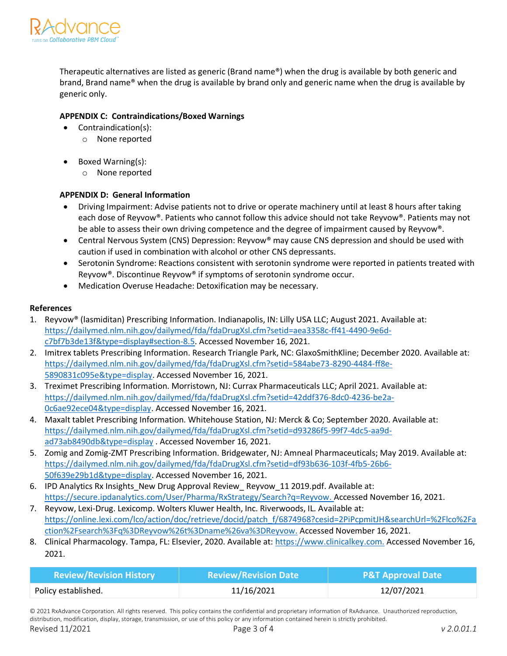

Therapeutic alternatives are listed as generic (Brand name®) when the drug is available by both generic and brand, Brand name® when the drug is available by brand only and generic name when the drug is available by generic only.

# **APPENDIX C: Contraindications/Boxed Warnings**

- Contraindication(s):
	- o None reported
- Boxed Warning(s):
	- o None reported

# **APPENDIX D: General Information**

- Driving Impairment: Advise patients not to drive or operate machinery until at least 8 hours after taking each dose of Reyvow®. Patients who cannot follow this advice should not take Reyvow®. Patients may not be able to assess their own driving competence and the degree of impairment caused by Reyvow®.
- Central Nervous System (CNS) Depression: Reyvow® may cause CNS depression and should be used with caution if used in combination with alcohol or other CNS depressants.
- Serotonin Syndrome: Reactions consistent with serotonin syndrome were reported in patients treated with Reyvow®. Discontinue Reyvow® if symptoms of serotonin syndrome occur.
- Medication Overuse Headache: Detoxification may be necessary.

# **References**

- 1. Reyvow® (lasmiditan) Prescribing Information. Indianapolis, IN: Lilly USA LLC; August 2021. Available at: [https://dailymed.nlm.nih.gov/dailymed/fda/fdaDrugXsl.cfm?setid=aea3358c-ff41-4490-9e6d](https://dailymed.nlm.nih.gov/dailymed/fda/fdaDrugXsl.cfm?setid=aea3358c-ff41-4490-9e6d-c7bf7b3de13f&type=display#section-8.5)[c7bf7b3de13f&type=display#section-8.5.](https://dailymed.nlm.nih.gov/dailymed/fda/fdaDrugXsl.cfm?setid=aea3358c-ff41-4490-9e6d-c7bf7b3de13f&type=display#section-8.5) Accessed November 16, 2021.
- 2. Imitrex tablets Prescribing Information. Research Triangle Park, NC: GlaxoSmithKline; December 2020. Available at: [https://dailymed.nlm.nih.gov/dailymed/fda/fdaDrugXsl.cfm?setid=584abe73-8290-4484-ff8e-](https://dailymed.nlm.nih.gov/dailymed/fda/fdaDrugXsl.cfm?setid=584abe73-8290-4484-ff8e-5890831c095e&type=display)[5890831c095e&type=display.](https://dailymed.nlm.nih.gov/dailymed/fda/fdaDrugXsl.cfm?setid=584abe73-8290-4484-ff8e-5890831c095e&type=display) Accessed November 16, 2021.
- 3. Treximet Prescribing Information. Morristown, NJ: Currax Pharmaceuticals LLC; April 2021. Available at: [https://dailymed.nlm.nih.gov/dailymed/fda/fdaDrugXsl.cfm?setid=42ddf376-8dc0-4236-be2a-](https://dailymed.nlm.nih.gov/dailymed/fda/fdaDrugXsl.cfm?setid=42ddf376-8dc0-4236-be2a-0c6ae92ece04&type=display)[0c6ae92ece04&type=display.](https://dailymed.nlm.nih.gov/dailymed/fda/fdaDrugXsl.cfm?setid=42ddf376-8dc0-4236-be2a-0c6ae92ece04&type=display) Accessed November 16, 2021.
- 4. Maxalt tablet Prescribing Information. Whitehouse Station, NJ: Merck & Co; September 2020. Available at: [https://dailymed.nlm.nih.gov/dailymed/fda/fdaDrugXsl.cfm?setid=d93286f5-99f7-4dc5-aa9d](https://dailymed.nlm.nih.gov/dailymed/fda/fdaDrugXsl.cfm?setid=d93286f5-99f7-4dc5-aa9d-ad73ab8490db&type=display)[ad73ab8490db&type=display](https://dailymed.nlm.nih.gov/dailymed/fda/fdaDrugXsl.cfm?setid=d93286f5-99f7-4dc5-aa9d-ad73ab8490db&type=display) . Accessed November 16, 2021.
- 5. Zomig and Zomig-ZMT Prescribing Information. Bridgewater, NJ: Amneal Pharmaceuticals; May 2019. Available at: [https://dailymed.nlm.nih.gov/dailymed/fda/fdaDrugXsl.cfm?setid=df93b636-103f-4fb5-26b6-](https://dailymed.nlm.nih.gov/dailymed/fda/fdaDrugXsl.cfm?setid=df93b636-103f-4fb5-26b6-50f639e29b1d&type=display) [50f639e29b1d&type=display.](https://dailymed.nlm.nih.gov/dailymed/fda/fdaDrugXsl.cfm?setid=df93b636-103f-4fb5-26b6-50f639e29b1d&type=display) Accessed November 16, 2021.
- 6. IPD Analytics Rx Insights New Drug Approval Review Reyvow 11 2019.pdf. Available at: [https://secure.ipdanalytics.com/User/Pharma/RxStrategy/Search?q=Reyvow.](https://secure.ipdanalytics.com/User/Pharma/RxStrategy/Search?q=Reyvow) Accessed November 16, 2021.
- 7. Reyvow, Lexi-Drug. Lexicomp. Wolters Kluwer Health, Inc. Riverwoods, IL. Available at: https://online.lexi.com/lco/action/doc/retrieve/docid/patch\_f/6874968?cesid=2PiPcpmitJH&searchUrl=%2Flco%2Fa ction%2Fsearch%3Fq%3DReyvow%26t%3Dname%26va%3DReyvow. Accessed November 16, 2021.
- 8. Clinical Pharmacology. Tampa, FL: Elsevier, 2020. Available at: https://www.clinicalkey.com. Accessed November 16, 2021.

| <b>Review/Revision History</b> | <b>Review/Revision Date</b> | <b>P&amp;T Approval Date</b> |
|--------------------------------|-----------------------------|------------------------------|
| Policy established.            | 11/16/2021                  | 12/07/2021                   |

© 2021 RxAdvance Corporation. All rights reserved. This policy contains the confidential and proprietary information of RxAdvance. Unauthorized reproduction, distribution, modification, display, storage, transmission, or use of this policy or any information contained herein is strictly prohibited.